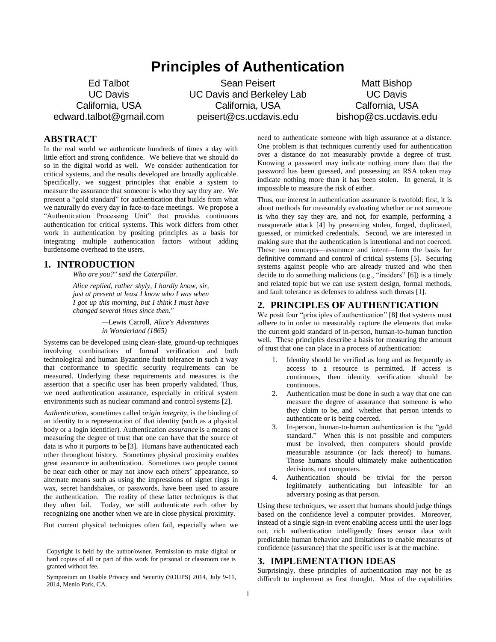# **Principles of Authentication**

Ed Talbot UC Davis California, USA edward.talbot@gmail.com

Sean Peisert UC Davis and Berkeley Lab California, USA peisert@cs.ucdavis.edu

Matt Bishop UC Davis Calfornia, USA bishop@cs.ucdavis.edu

# **ABSTRACT**

In the real world we authenticate hundreds of times a day with little effort and strong confidence. We believe that we should do so in the digital world as well. We consider authentication for critical systems, and the results developed are broadly applicable. Specifically, we suggest principles that enable a system to measure the assurance that someone is who they say they are. We present a "gold standard" for authentication that builds from what we naturally do every day in face-to-face meetings. We propose a "Authentication Processing Unit" that provides continuous authentication for critical systems. This work differs from other work in authentication by positing principles as a basis for integrating multiple authentication factors without adding burdensome overhead to the users.

# **1. INTRODUCTION**

*Who are you?" said the Caterpillar.*

*Alice replied, rather shyly, I hardly know, sir, just at present at least I know who I was when I got up this morning, but I think I must have changed several times since then."*

> *—*Lewis Carroll, *Alice's Adventures in Wonderland (1865)*

Systems can be developed using clean-slate, ground-up techniques involving combinations of formal verification and both technological and human Byzantine fault tolerance in such a way that conformance to specific security requirements can be measured. Underlying these requirements and measures is the assertion that a specific user has been properly validated. Thus, we need authentication assurance, especially in critical system environments such as nuclear command and control systems [2].

*Authentication*, sometimes called *origin integrity*, is the binding of an identity to a representation of that identity (such as a physical body or a login identifier). Authentication *assurance* is a means of measuring the degree of trust that one can have that the source of data is who it purports to be [3]. Humans have authenticated each other throughout history. Sometimes physical proximity enables great assurance in authentication. Sometimes two people cannot be near each other or may not know each others' appearance, so alternate means such as using the impressions of signet rings in wax, secret handshakes, or passwords, have been used to assure the authentication. The reality of these latter techniques is that they often fail. Today, we still authenticate each other by recognizing one another when we are in close physical proximity.

But current physical techniques often fail, especially when we

need to authenticate someone with high assurance at a distance. One problem is that techniques currently used for authentication over a distance do not measurably provide a degree of trust. Knowing a password may indicate nothing more than that the password has been guessed, and possessing an RSA token may indicate nothing more than it has been stolen. In general, it is impossible to measure the risk of either.

Thus, our interest in authentication assurance is twofold: first, it is about methods for measurably evaluating whether or not someone is who they say they are, and not, for example, performing a masquerade attack [4] by presenting stolen, forged, duplicated, guessed, or mimicked credentials. Second, we are interested in making sure that the authentication is intentional and not coerced. These two concepts—assurance and intent—form the basis for definitive command and control of critical systems [5]. Securing systems against people who are already trusted and who then decide to do something malicious (e.g., "insiders" [6]) is a timely and related topic but we can use system design, formal methods, and fault tolerance as defenses to address such threats [1].

### **2. PRINCIPLES OF AUTHENTICATION**

We posit four "principles of authentication" [8] that systems must adhere to in order to measurably capture the elements that make the current gold standard of in-person, human-to-human function well. These principles describe a basis for measuring the amount of trust that one can place in a process of authentication:

- 1. Identity should be verified as long and as frequently as access to a resource is permitted. If access is continuous, then identity verification should be continuous.
- 2. Authentication must be done in such a way that one can measure the degree of assurance that someone is who they claim to be, and whether that person intends to authenticate or is being coerced.
- 3. In-person, human-to-human authentication is the "gold standard." When this is not possible and computers must be involved, then computers should provide measurable assurance (or lack thereof) to humans. Those humans should ultimately make authentication decisions, not computers.
- 4. Authentication should be trivial for the person legitimately authenticating but infeasible for an adversary posing as that person.

Using these techniques, we assert that humans should judge things based on the confidence level a computer provides. Moreover, instead of a single sign-in event enabling access until the user logs out, rich authentication intelligently fuses sensor data with predictable human behavior and limitations to enable measures of confidence (assurance) that the specific user is at the machine.

## **3. IMPLEMENTATION IDEAS**

Surprisingly, these principles of authentication may not be as difficult to implement as first thought. Most of the capabilities

Copyright is held by the author/owner. Permission to make digital or hard copies of all or part of this work for personal or classroom use is granted without fee.

Symposium on Usable Privacy and Security (SOUPS) 2014, July 9-11, 2014, Menlo Park, CA.